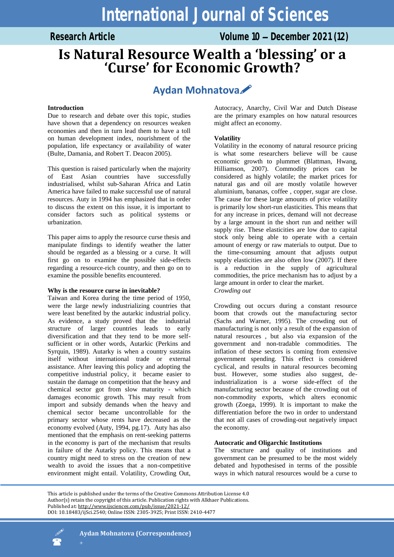Research Article **Volume 10 – December 2021 (12)** 

# **Is Natural Resource Wealth a 'blessing' or a 'Curse' for Economic Growth?**

## **Aydan Mohnatova**

## **Introduction**

Due to research and debate over this topic, studies have shown that a dependency on resources weaken economies and then in turn lead them to have a toll on human development index, nourishment of the population, life expectancy or availability of water (Bulte, Damania, and Robert T. Deacon 2005).

This question is raised particularly when the majority of East Asian countries have successfully industrialised, whilst sub-Saharan Africa and Latin America have failed to make successful use of natural resources. Auty in 1994 has emphasized that in order to discuss the extent on this issue, it is important to consider factors such as political systems or urbanization.

This paper aims to apply the resource curse thesis and manipulate findings to identify weather the latter should be regarded as a blessing or a curse. It will first go on to examine the possible side-effects regarding a resource-rich country, and then go on to examine the possible benefits encountered.

## **Why is the resource curse in inevitable?**

Taiwan and Korea during the time period of 1950, were the large newly industrializing countries that were least benefited by the autarkic industrial policy. As evidence, a study proved that the industrial structure of larger countries leads to early diversification and that they tend to be more selfsufficient or in other words, Autarkic (Perkins and Syrquin, 1989). Autarky is when a country sustains itself without international trade or external assistance. After leaving this policy and adopting the competitive industrial policy, it became easier to sustain the damage on competition that the heavy and chemical sector got from slow maturity - which damages economic growth. This may result from import and subsidy demands when the heavy and chemical sector became uncontrollable for the primary sector whose rents have decreased as the economy evolved (Auty, 1994, pg.17). Auty has also mentioned that the emphasis on rent-seeking patterns in the economy is part of the mechanism that results in failure of the Autarky policy. This means that a country might need to stress on the creation of new wealth to avoid the issues that a non-competitive environment might entail. Volatility, Crowding Out,

Autocracy, Anarchy, Civil War and Dutch Disease are the primary examples on how natural resources might affect an economy.

## **Volatility**

Volatility in the economy of natural resource pricing is what some researchers believe will be cause economic growth to plummet (Blattman, Hwang, Hilliamson, 2007). Commodity prices can be considered as highly volatile; the market prices for natural gas and oil are mostly volatile however aluminium, bananas, coffee , copper, sugar are close. The cause for these large amounts of price volatility is primarily low short-run elasticities. This means that for any increase in prices, demand will not decrease by a large amount in the short run and neither will supply rise. These elasticities are low due to capital stock only being able to operate with a certain amount of energy or raw materials to output. Due to the time-consuming amount that adjusts output supply elasticities are also often low (2007). If there is a reduction in the supply of agricultural commodities, the price mechanism has to adjust by a large amount in order to clear the market. *Crowding out* 

Crowding out occurs during a constant resource boom that crowds out the manufacturing sector (Sachs and Warner, 1995). The crowding out of manufacturing is not only a result of the expansion of natural resources , but also via expansion of the government and non-tradable commodities. The inflation of these sectors is coming from extensive government spending. This effect is considered cyclical, and results in natural resources becoming bust. However, some studies also suggest, deindustrialization is a worse side-effect of the manufacturing sector because of the crowding out of non-commodity exports, which alters economic growth (Zoega, 1999). It is important to make the differentiation before the two in order to understand that not all cases of crowding-out negatively impact the economy.

## **Autocratic and Oligarchic Institutions**

The structure and quality of institutions and government can be presumed to be the most widely debated and hypothesised in terms of the possible ways in which natural resources would be a curse to

This article is published under the terms of the Creative Commons Attribution License 4.0 Author(s) retain the copyright of this article. Publication rights with Alkhaer Publications. Published at[: http://www.ijsciences.com/pub/issue/2021](http://www.ijsciences.com/pub/issue/2021-12/)-12/ DOI: 10.18483/ijSci.2540; Online ISSN: 2305-3925; Print ISSN: 2410-4477

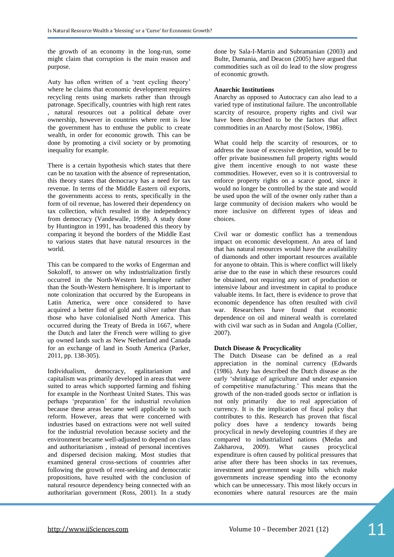the growth of an economy in the long-run, some might claim that corruption is the main reason and purpose.

Auty has often written of a "rent cycling theory" where he claims that economic development requires recycling rents using markets rather than through patronage. Specifically, countries with high rent rates , natural resources out a political debate over ownership, however in countries where rent is low the government has to enthuse the public to create wealth, in order for economic growth. This can be done by promoting a civil society or by promoting inequality for example.

There is a certain hypothesis which states that there can be no taxation with the absence of representation, this theory states that democracy has a need for tax revenue. In terms of the Middle Eastern oil exports, the governments access to rents, specifically in the form of oil revenue, has lowered their dependency on tax collection, which resulted in the independency from democracy (Vandewalle, 1998). A study done by Huntington in 1991, has broadened this theory by comparing it beyond the borders of the Middle East to various states that have natural resources in the world.

This can be compared to the works of Engerman and Sokoloff, to answer on why industrialization firstly occurred in the North-Western hemisphere rather than the South-Western hemisphere. It is important to note colonization that occurred by the Europeans in Latin America, were once considered to have acquired a better find of gold and silver rather than those who have colonialised North America. This occurred during the Treaty of Breda in 1667, where the Dutch and later the French were willing to give up owned lands such as New Netherland and Canada for an exchange of land in South America (Parker, 2011, pp. 138-305).

Individualism, democracy, egalitarianism and capitalism was primarily developed in areas that were suited to areas which supported farming and fishing for example in the Northeast United States. This was perhaps "preparation" for the industrial revolution because these areas became well applicable to such reform. However, areas that were concerned with industries based on extractions were not well suited for the industrial revolution because society and the environment became well-adjusted to depend on class and authoritarianism , instead of personal incentives and dispersed decision making. Most studies that examined general cross-sections of countries after following the growth of rent-seeking and democratic propositions, have resulted with the conclusion of natural resource dependency being connected with an authoritarian government (Ross, 2001). In a study

done by Sala-I-Martin and Subramanian (2003) and Bulte, Damania, and Deacon (2005) have argued that commodities such as oil do lead to the slow progress of economic growth.

#### **Anarchic Institutions**

Anarchy as opposed to Autocracy can also lead to a varied type of institutional failure. The uncontrollable scarcity of resource, property rights and civil war have been described to be the factors that affect commodities in an Anarchy most (Solow, 1986).

What could help the scarcity of resources, or to address the issue of excessive depletion, would be to offer private businessmen full property rights would give them incentive enough to not waste these commodities. However, even so it is controversial to enforce property rights on a scarce good, since it would no longer be controlled by the state and would be used upon the will of the owner only rather than a large community of decision makers who would be more inclusive on different types of ideas and choices.

Civil war or domestic conflict has a tremendous impact on economic development. An area of land that has natural resources would have the availability of diamonds and other important resources available for anyone to obtain. This is where conflict will likely arise due to the ease in which these resources could be obtained, not requiring any sort of production or intensive labour and investment in capital to produce valuable items. In fact, there is evidence to prove that economic dependence has often resulted with civil war. Researchers have found that economic dependence on oil and mineral wealth is correlated with civil war such as in Sudan and Angola (Collier, 2007).

#### **Dutch Disease & Procyclicality**

The Dutch Disease can be defined as a real appreciation in the nominal currency (Edwards (1986). Auty has described the Dutch disease as the early "shrinkage of agriculture and under expansion of competitive manufacturing." This means that the growth of the non-traded goods sector or inflation is not only primarily due to real appreciation of currency. It is the implication of fiscal policy that contributes to this. Research has proven that fiscal policy does have a tendency towards being procyclical in newly developing countries if they are compared to industrialized nations (Medas and Zakharova, 2009). What causes procyclical expenditure is often caused by political pressures that arise after there has been shocks in tax revenues, investment and government wage bills which make governments increase spending into the economy which can be unnecessary. This most likely occurs in economies where natural resources are the main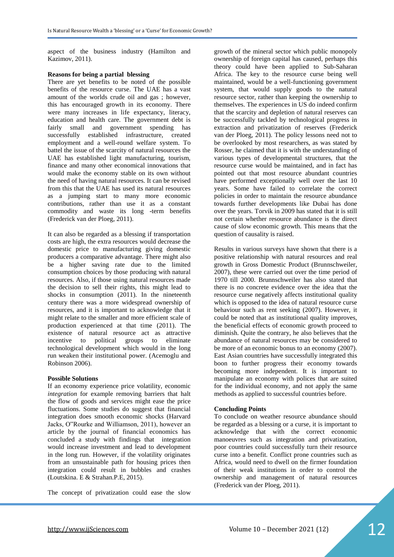aspect of the business industry (Hamilton and Kazimov, 2011).

#### **Reasons for being a partial blessing**

There are yet benefits to be noted of the possible benefits of the resource curse. The UAE has a vast amount of the worlds crude oil and gas ; however, this has encouraged growth in its economy. There were many increases in life expectancy, literacy, education and health care. The government debt is fairly small and government spending has successfully established infrastructure, created employment and a well-round welfare system. To battel the issue of the scarcity of natural resources the UAE has established light manufacturing, tourism, finance and many other economical innovations that would make the economy stable on its own without the need of having natural resources. It can be revised from this that the UAE has used its natural resources as a jumping start to many more economic contributions, rather than use it as a constant commodity and waste its long -term benefits (Frederick van der Ploeg, 2011).

It can also be regarded as a blessing if transportation costs are high, the extra resources would decrease the domestic price to manufacturing giving domestic producers a comparative advantage. There might also be a higher saving rate due to the limited consumption choices by those producing with natural resources. Also, if those using natural resources made the decision to sell their rights, this might lead to shocks in consumption (2011). In the nineteenth century there was a more widespread ownership of resources, and it is important to acknowledge that it might relate to the smaller and more efficient scale of production experienced at that time (2011). The existence of natural resource act as attractive incentive to political groups to eliminate technological development which would in the long run weaken their institutional power. (Acemoglu and Robinson 2006).

#### **Possible Solutions**

If an economy experience price volatility, economic *integration* for example removing barriers that halt the flow of goods and services might ease the price fluctuations. Some studies do suggest that financial integration does smooth economic shocks (Harvard Jacks, O"Rourke and Williamson, 2011), however an article by the journal of financial economics has concluded a study with findings that integration would increase investment and lead to development in the long run. However, if the volatility originates from an unsustainable path for housing prices then integration could result in bubbles and crashes (Loutskina. E & Strahan.P.E, 2015).

The concept of privatization could ease the slow

growth of the mineral sector which public monopoly ownership of foreign capital has caused, perhaps this theory could have been applied to Sub-Saharan Africa. The key to the resource curse being well maintained, would be a well-functioning government system, that would supply goods to the natural resource sector, rather than keeping the ownership to themselves. The experiences in US do indeed confirm that the scarcity and depletion of natural reserves can be successfully tackled by technological progress in extraction and privatization of reserves (Frederick van der Ploeg, 2011). The policy lessons need not to be overlooked by most researchers, as was stated by Rosser, he claimed that it is with the understanding of various types of developmental structures, that the resource curse would be maintained, and in fact has pointed out that most resource abundant countries have performed exceptionally well over the last 10 years. Some have failed to correlate the correct policies in order to maintain the resource abundance towards further developments like Dubai has done over the years. Torvik in 2009 has stated that it is still not certain whether resource abundance is the direct cause of slow economic growth. This means that the question of causality is raised.

Results in various surveys have shown that there is a positive relationship with natural resources and real growth in Gross Domestic Product (Brunnschweiler, 2007), these were carried out over the time period of 1970 till 2000. Brunnschweiler has also stated that there is no concrete evidence over the idea that the resource curse negatively affects institutional quality which is opposed to the idea of natural resource curse behaviour such as rent seeking (2007). However, it could be noted that as institutional quality improves, the beneficial effects of economic growth proceed to diminish. Quite the contrary, he also believes that the abundance of natural resources may be considered to be more of an economic bonus to an economy (2007). East Asian countries have successfully integrated this boon to further progress their economy towards becoming more independent. It is important to manipulate an economy with polices that are suited for the individual economy, and not apply the same methods as applied to successful countries before.

#### **Concluding Points**

To conclude on weather resource abundance should be regarded as a blessing or a curse, it is important to acknowledge that with the correct economic manoeuvres such as integration and privatization, poor countries could successfully turn their resource curse into a benefit. Conflict prone countries such as Africa, would need to dwell on the firmer foundation of their weak institutions in order to control the ownership and management of natural resources (Frederick van der Ploeg, 2011).